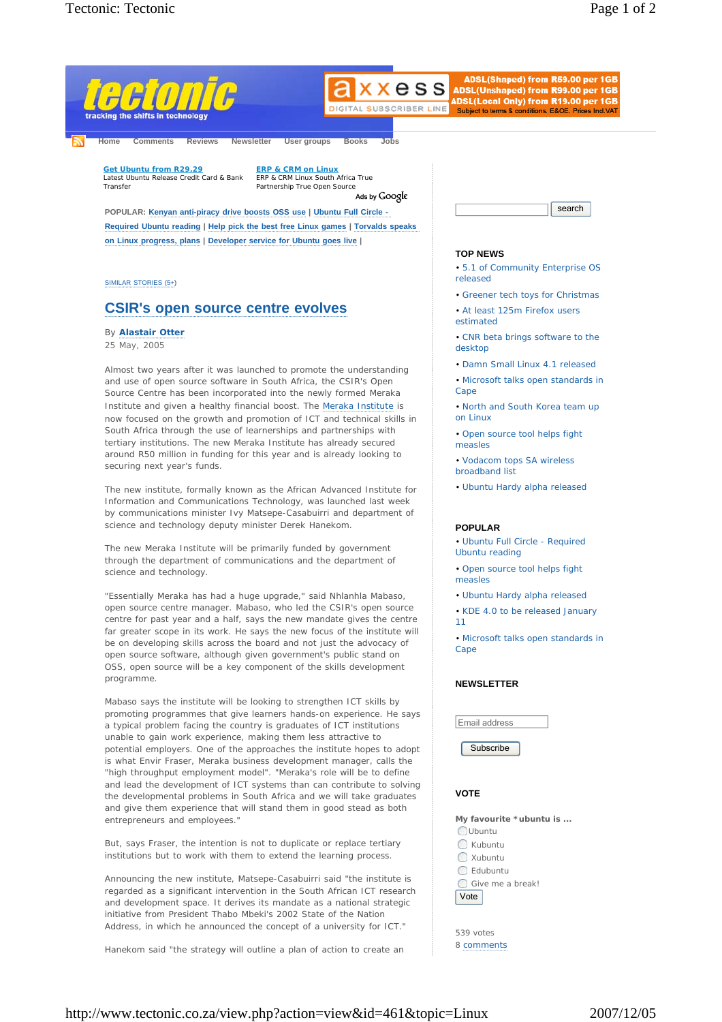

**Required Ubuntu reading | Help pick the best free Linux games | Torvalds speaks on Linux progress, plans | Developer service for Ubuntu goes live |** 

SIMILAR STORIES (5+)

# **CSIR's open source centre evolves**

## By **Alastair Otter**

25 May, 2005

Almost two years after it was launched to promote the understanding and use of open source software in South Africa, the CSIR's Open Source Centre has been incorporated into the newly formed Meraka Institute and given a healthy financial boost. The Meraka Institute is now focused on the growth and promotion of ICT and technical skills in South Africa through the use of learnerships and partnerships with tertiary institutions. The new Meraka Institute has already secured around R50 million in funding for this year and is already looking to securing next year's funds.

The new institute, formally known as the African Advanced Institute for Information and Communications Technology, was launched last week by communications minister Ivy Matsepe-Casabuirri and department of science and technology deputy minister Derek Hanekom.

The new Meraka Institute will be primarily funded by government through the department of communications and the department of science and technology.

"Essentially Meraka has had a huge upgrade," said Nhlanhla Mabaso, open source centre manager. Mabaso, who led the CSIR's open source centre for past year and a half, says the new mandate gives the centre far greater scope in its work. He says the new focus of the institute will be on developing skills across the board and not just the advocacy of open source software, although given government's public stand on OSS, open source will be a key component of the skills development programme.

Mabaso says the institute will be looking to strengthen ICT skills by promoting programmes that give learners hands-on experience. He says a typical problem facing the country is graduates of ICT institutions unable to gain work experience, making them less attractive to potential employers. One of the approaches the institute hopes to adopt is what Envir Fraser, Meraka business development manager, calls the "high throughput employment model". "Meraka's role will be to define and lead the development of ICT systems than can contribute to solving the developmental problems in South Africa and we will take graduates and give them experience that will stand them in good stead as both entrepreneurs and employees."

But, says Fraser, the intention is not to duplicate or replace tertiary institutions but to work with them to extend the learning process.

Announcing the new institute, Matsepe-Casabuirri said "the institute is regarded as a significant intervention in the South African ICT research and development space. It derives its mandate as a national strategic initiative from President Thabo Mbeki's 2002 State of the Nation Address, in which he announced the concept of a university for ICT."

Hanekom said "the strategy will outline a plan of action to create an

#### **TOP NEWS**

• 5.1 of Community Enterprise OS released

- Greener tech toys for Christmas
- At least 125m Firefox users estimated
- CNR beta brings software to the desktop
- Damn Small Linux 4.1 released
- Microsoft talks open standards in Cape
- North and South Korea team up on Linux

• Open source tool helps fight measles

- Vodacom tops SA wireless broadband list
- Ubuntu Hardy alpha released

#### **POPULAR**

• Ubuntu Full Circle - Required Ubuntu reading

- Open source tool helps fight measles
- Ubuntu Hardy alpha released

• KDE 4.0 to be released January 11

• Microsoft talks open standards in Cape

# **NEWSLETTER**

Email address

Subscribe

## **VOTE**

**My favourite \*ubuntu is ... O**Ubuntu

- **Kubuntu**
- Xubuntu
- Edubuntu

Give me a break!

Vote

539 votes 8 comments